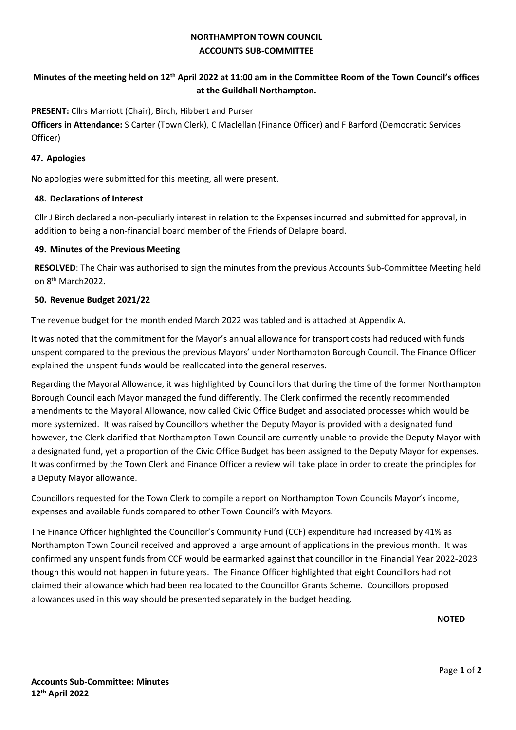## **NORTHAMPTON TOWN COUNCIL ACCOUNTS SUB-COMMITTEE**

## **Minutes of the meeting held on 12th April 2022 at 11:00 am in the Committee Room of the Town Council's offices at the Guildhall Northampton.**

**PRESENT:** Cllrs Marriott (Chair), Birch, Hibbert and Purser

**Officers in Attendance:** S Carter (Town Clerk), C Maclellan (Finance Officer) and F Barford (Democratic Services Officer)

### **47. Apologies**

No apologies were submitted for this meeting, all were present.

### **48. Declarations of Interest**

Cllr J Birch declared a non-peculiarly interest in relation to the Expenses incurred and submitted for approval, in addition to being a non-financial board member of the Friends of Delapre board.

#### **49. Minutes of the Previous Meeting**

**RESOLVED**: The Chair was authorised to sign the minutes from the previous Accounts Sub-Committee Meeting held on 8th March2022.

### **50. Revenue Budget 2021/22**

The revenue budget for the month ended March 2022 was tabled and is attached at Appendix A.

It was noted that the commitment for the Mayor's annual allowance for transport costs had reduced with funds unspent compared to the previous the previous Mayors' under Northampton Borough Council. The Finance Officer explained the unspent funds would be reallocated into the general reserves.

Regarding the Mayoral Allowance, it was highlighted by Councillors that during the time of the former Northampton Borough Council each Mayor managed the fund differently. The Clerk confirmed the recently recommended amendments to the Mayoral Allowance, now called Civic Office Budget and associated processes which would be more systemized. It was raised by Councillors whether the Deputy Mayor is provided with a designated fund however, the Clerk clarified that Northampton Town Council are currently unable to provide the Deputy Mayor with a designated fund, yet a proportion of the Civic Office Budget has been assigned to the Deputy Mayor for expenses. It was confirmed by the Town Clerk and Finance Officer a review will take place in order to create the principles for a Deputy Mayor allowance.

Councillors requested for the Town Clerk to compile a report on Northampton Town Councils Mayor's income, expenses and available funds compared to other Town Council's with Mayors.

The Finance Officer highlighted the Councillor's Community Fund (CCF) expenditure had increased by 41% as Northampton Town Council received and approved a large amount of applications in the previous month. It was confirmed any unspent funds from CCF would be earmarked against that councillor in the Financial Year 2022-2023 though this would not happen in future years. The Finance Officer highlighted that eight Councillors had not claimed their allowance which had been reallocated to the Councillor Grants Scheme. Councillors proposed allowances used in this way should be presented separately in the budget heading.

**NOTED**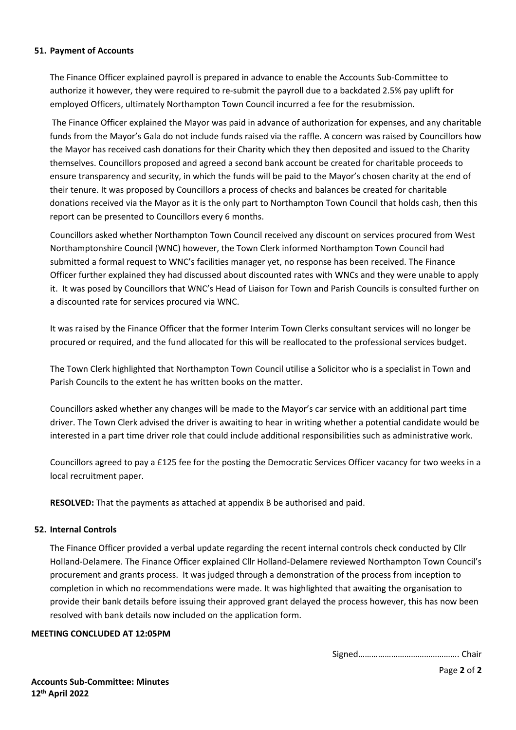#### **51. Payment of Accounts**

The Finance Officer explained payroll is prepared in advance to enable the Accounts Sub-Committee to authorize it however, they were required to re-submit the payroll due to a backdated 2.5% pay uplift for employed Officers, ultimately Northampton Town Council incurred a fee for the resubmission.

 The Finance Officer explained the Mayor was paid in advance of authorization for expenses, and any charitable funds from the Mayor's Gala do not include funds raised via the raffle. A concern was raised by Councillors how the Mayor has received cash donations for their Charity which they then deposited and issued to the Charity themselves. Councillors proposed and agreed a second bank account be created for charitable proceeds to ensure transparency and security, in which the funds will be paid to the Mayor's chosen charity at the end of their tenure. It was proposed by Councillors a process of checks and balances be created for charitable donations received via the Mayor as it is the only part to Northampton Town Council that holds cash, then this report can be presented to Councillors every 6 months.

Councillors asked whether Northampton Town Council received any discount on services procured from West Northamptonshire Council (WNC) however, the Town Clerk informed Northampton Town Council had submitted a formal request to WNC's facilities manager yet, no response has been received. The Finance Officer further explained they had discussed about discounted rates with WNCs and they were unable to apply it. It was posed by Councillors that WNC's Head of Liaison for Town and Parish Councils is consulted further on a discounted rate for services procured via WNC.

It was raised by the Finance Officer that the former Interim Town Clerks consultant services will no longer be procured or required, and the fund allocated for this will be reallocated to the professional services budget.

The Town Clerk highlighted that Northampton Town Council utilise a Solicitor who is a specialist in Town and Parish Councils to the extent he has written books on the matter.

Councillors asked whether any changes will be made to the Mayor's car service with an additional part time driver. The Town Clerk advised the driver is awaiting to hear in writing whether a potential candidate would be interested in a part time driver role that could include additional responsibilities such as administrative work.

Councillors agreed to pay a £125 fee for the posting the Democratic Services Officer vacancy for two weeks in a local recruitment paper.

**RESOLVED:** That the payments as attached at appendix B be authorised and paid.

### **52. Internal Controls**

The Finance Officer provided a verbal update regarding the recent internal controls check conducted by Cllr Holland-Delamere. The Finance Officer explained Cllr Holland-Delamere reviewed Northampton Town Council's procurement and grants process. It was judged through a demonstration of the process from inception to completion in which no recommendations were made. It was highlighted that awaiting the organisation to provide their bank details before issuing their approved grant delayed the process however, this has now been resolved with bank details now included on the application form.

#### **MEETING CONCLUDED AT 12:05PM**

Signed………………………………………. Chair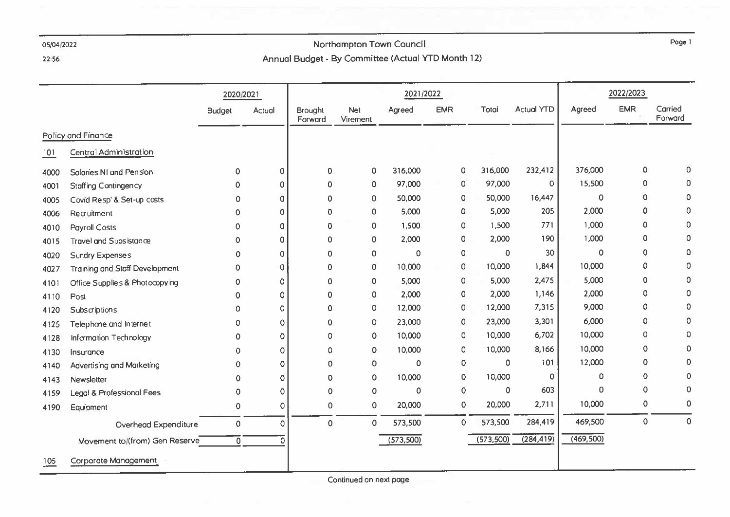### 22:56

# Northampton Town Council Annual Budget - By Committee (Actual YTD Month 12)

|      |                                       | 2020/2021      |          |                           |                 | 2021/2022   |              |           |                   |             | 2022/2023  |                    |
|------|---------------------------------------|----------------|----------|---------------------------|-----------------|-------------|--------------|-----------|-------------------|-------------|------------|--------------------|
|      |                                       | <b>Budget</b>  | Actual   | <b>Brought</b><br>Forward | Net<br>Virement | Agreed      | <b>EMR</b>   | Total     | <b>Actual YTD</b> | Agreed      | <b>EMR</b> | Carried<br>Forward |
|      | Policy and Finance                    |                |          |                           |                 |             |              |           |                   |             |            |                    |
| 101  | <b>Central Administration</b>         |                |          |                           |                 |             |              |           |                   |             |            |                    |
| 4000 | Salaries NI and Pension               | $\mathbf 0$    | 0        | 0                         | 0               | 316,000     | 0            | 316,000   | 232,412           | 376,000     | 0          | 0                  |
| 4001 | <b>Staffing Contingency</b>           | 0              | 0        | 0                         | 0               | 97,000      | 0            | 97,000    | 0                 | 15,500      | 0          | $\mathbf 0$        |
| 4005 | Covid Resp' & Set-up costs            | 0              | 0        | 0                         | 0               | 50,000      | 0            | 50,000    | 16,447            | $\mathbf 0$ | 0          | $\mathbf 0$        |
| 4006 | Recruitment                           | 0              | $\Omega$ | 0                         | 0               | 5,000       | 0            | 5,000     | 205               | 2,000       | 0          | $\mathbf 0$        |
| 4010 | <b>Payroll Costs</b>                  | 0              | 0        | $\Omega$                  | 0               | 1,500       | $\mathbf 0$  | 1,500     | 771               | 1,000       | 0          | $\Omega$           |
| 4015 | <b>Travel and Subsistance</b>         | 0              | 0        | 0                         | 0               | 2,000       | $\pmb{0}$    | 2,000     | 190               | 1,000       | 0          | $\overline{0}$     |
| 4020 | <b>Sundry Expenses</b>                | 0              | 0        | 0                         | 0               | $\mathbf 0$ | 0            | 0         | 30                | 0           | 0          | 0                  |
| 4027 | <b>Training and Staff Development</b> | 0              | 0        | 0                         | 0               | 10,000      | $\mathbf 0$  | 10,000    | 1,844             | 10,000      | 0          | 0                  |
| 4101 | Office Supplies & Photocopying        | 0              | O        | 0                         | 0               | 5,000       | 0            | 5,000     | 2,475             | 5,000       | 0          | $\mathbf 0$        |
| 4110 | Post                                  | 0.             | Ω        | 0                         | 0               | 2,000       | 0            | 2,000     | 1,146             | 2,000       | 0          | $\Omega$           |
| 4120 | Subscriptions                         | 0.             | O        | 0                         | 0               | 12,000      | $\circ$      | 12,000    | 7,315             | 9,000       | 0          | 0                  |
| 4125 | Telephone and Internet                | 0              | 0        | 0                         | 0               | 23,000      | $\pmb 0$     | 23,000    | 3,301             | 6,000       | 0          | 0                  |
| 4128 | Information Technology                | 0              | Ω        | 0                         | 0               | 10,000      | 0            | 10,000    | 6,702             | 10,000      | 0          | $\mathbf 0$        |
| 4130 | Insurance                             | 0              | 0        | 0                         | 0               | 10,000      | $\circ$      | 10,000    | 8,166             | 10,000      | 0          | 0                  |
| 4140 | Advertising and Marketing             | 0              | 0        | 0                         | 0               | 0           | 0            | 0         | 101               | 12,000      | 0          | 0                  |
| 4143 | Newsletter                            | 0              | Ω        | 0                         | 0               | 10,000      | 0            | 10,000    | 0                 | 0           | 0          | 0                  |
| 4159 | Legal & Professional Fees             | 0              | $\Omega$ | 0                         | 0               | $\mathbf 0$ | $\mathbf 0$  | $\Omega$  | 603               | 0           | 0          | 0                  |
| 4190 | Equipment                             | 0              | 0        | 0                         | 0               | 20,000      | $\pmb{0}$    | 20,000    | 2,711             | 10,000      | 0          | 0                  |
|      | Overhead Expenditure                  | 0              | $\Omega$ | 0                         | 0               | 573,500     | $\mathbf{0}$ | 573,500   | 284,419           | 469,500     | 0          | $\overline{0}$     |
|      | Movement to/(from) Gen Reserve        | $\overline{0}$ | ∩        |                           |                 | (573,500)   |              | (573,500) | (284, 419)        | (469, 500)  |            |                    |
| 105  | Corporate Management                  |                |          |                           |                 |             |              |           |                   |             |            |                    |

Continued on next page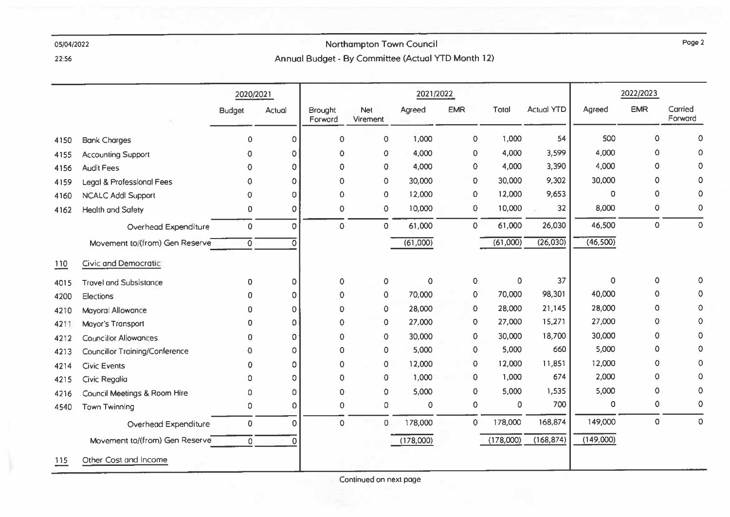# Northampton Town Council Annual Budget - By Committee (Actual YTD Month 12)

22:56

|      |                                       | 2020/2021           |          |                    |                        | 2021/2022   |                |             |                   |           | 2022/2023  |                    |
|------|---------------------------------------|---------------------|----------|--------------------|------------------------|-------------|----------------|-------------|-------------------|-----------|------------|--------------------|
|      |                                       | <b>Budget</b>       | Actual   | Brought<br>Forward | <b>Net</b><br>Virement | Agreed      | <b>EMR</b>     | Total       | <b>Actual YTD</b> | Agreed    | <b>EMR</b> | Carried<br>Forward |
| 4150 | <b>Bank Charges</b>                   | $\circ$             | $\circ$  | $\circ$            | $\circ$                | 1,000       | $\mathbf 0$    | 1,000       | 54                | 500       | 0          | 0                  |
| 4155 | <b>Accounting Support</b>             | 0                   | 0        | $\mathbf 0$        | $\mathbf 0$            | 4,000       | 0              | 4,000       | 3,599             | 4,000     | 0          | 0                  |
| 4156 | <b>Audit Fees</b>                     | $\Omega$            | 0        | $\mathbf 0$        | $\circ$                | 4,000       | 0              | 4,000       | 3,390             | 4,000     | 0          | 0                  |
| 4159 | Legal & Professional Fees             | $\Omega$            | 0        | $\mathbf 0$        | $\mathbf 0$            | 30,000      | 0              | 30,000      | 9,302             | 30,000    | 0          | 0                  |
| 4160 | <b>NCALC Addl Support</b>             | 0                   | Ω        | $\mathbf 0$        | $\mathbf 0$            | 12,000      | 0              | 12,000      | 9,653             | 0         | 0          | 0                  |
| 4162 | <b>Health and Safety</b>              | $\mathbf 0$         | 0        | 0                  | $\circ$                | 10,000      | $\circ$        | 10,000      | 32                | 8,000     | 0          | 0                  |
|      | Overhead Expenditure                  | $\circ$             | $\Omega$ | $\mathbf 0$        | $\mathbf 0$            | 61,000      | 0              | 61,000      | 26,030            | 46,500    | $\Omega$   | $\mathbf 0$        |
|      | Movement to/(from) Gen Reserve        | $\mathbf 0$         | O        |                    |                        | (61,000)    |                | (61,000)    | (26,030)          | (46,500)  |            |                    |
| 110  | Civic and Democratic                  |                     |          |                    |                        |             |                |             |                   |           |            |                    |
| 4015 | <b>Travel and Subsistance</b>         | $\mathbf 0$         | 0        | $\pmb 0$           | $\mathsf{O}\xspace$    | $\mathbf 0$ | 0              | $\pmb 0$    | 37                | 0         | 0          | 0                  |
| 4200 | <b>Elections</b>                      | 0                   | 0        | $\mathbf 0$        | $\mathbf 0$            | 70,000      | $\mathbf 0$    | 70,000      | 98,301            | 40,000    | 0          | 0                  |
| 4210 | Mayoral Allowance                     | 0                   | $\Omega$ | $\mathbf 0$        | $\mathbf 0$            | 28,000      | 0              | 28,000      | 21,145            | 28,000    | 0          | 0                  |
| 4211 | Mayor's Transport                     | o                   | $\Omega$ | $\Omega$           | $\mathbf 0$            | 27,000      | 0              | 27,000      | 15,271            | 27,000    | 0          | 0                  |
| 4212 | <b>Councillor Allowances</b>          | 0                   | 0        | 0                  | $\circ$                | 30,000      | 0              | 30,000      | 18,700            | 30,000    | 0          | 0                  |
| 4213 | <b>Councillor Training/Conference</b> | 0                   | 0        | $\mathbf 0$        | $\mathbf 0$            | 5,000       | 0              | 5,000       | 660               | 5,000     | 0          | 0                  |
| 4214 | <b>Civic Events</b>                   | $\Omega$            | 0        | $\mathbf 0$        | $\mathbf 0$            | 12,000      | 0              | 12,000      | 11,851            | 12,000    | 0          | 0                  |
| 4215 | Civic Regalia                         | 0                   | 0        | $\mathbf 0$        | $\mathbf 0$            | 1,000       | 0              | 1,000       | 674               | 2,000     | 0          | $\Omega$           |
| 4216 | Council Meetings & Room Hire          | 0                   | 0        | $\mathbf 0$        | $\mathbf 0$            | 5,000       | 0              | 5,000       | 1,535             | 5,000     | 0          | 0                  |
| 4540 | <b>Town Twinning</b>                  | $\circ$             | $\Omega$ | $\mathbf 0$        | $\circ$                | 0           | $\circ$        | $\mathbf 0$ | 700               | 0         | 0          | $\mathbf 0$        |
|      | Overhead Expenditure                  | $\mathsf{O}\xspace$ | $\Omega$ | $\Omega$           | $\mathbf{0}$           | 178,000     | $\overline{0}$ | 178,000     | 168,874           | 149,000   | $\Omega$   | $\Omega$           |
|      | Movement to/(from) Gen Reserve        | $\circ$             | $\Omega$ |                    |                        | (178,000)   |                | (178,000)   | (168, 874)        | (149,000) |            |                    |
| 115  | Other Cost and Income                 |                     |          |                    |                        |             |                |             |                   |           |            |                    |

Page 2

Continued on next page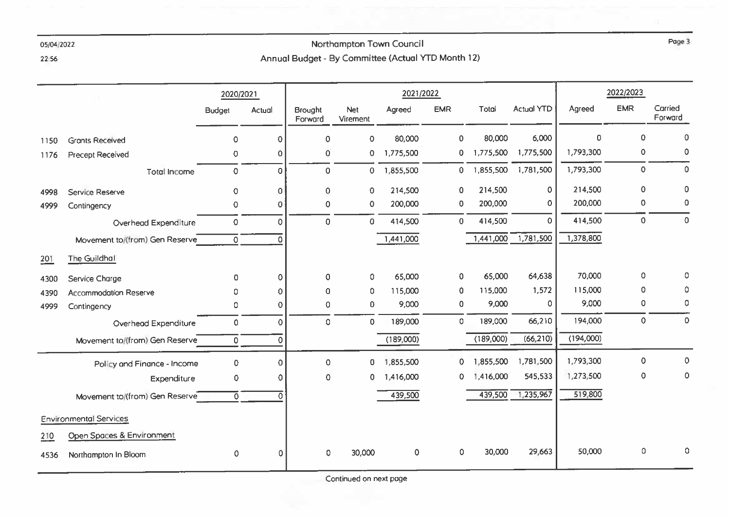# Northampton Town Council Annual Budget - By Committee (Actual YTD Month 12)

22:56

|      |                                | 2020/2021      |             |                           | 2021/2022              |              | 2022/2023   |           |                   |           |                     |                    |
|------|--------------------------------|----------------|-------------|---------------------------|------------------------|--------------|-------------|-----------|-------------------|-----------|---------------------|--------------------|
|      |                                | <b>Budget</b>  | Actual      | <b>Brought</b><br>Forward | <b>Net</b><br>Virement | Agreed       | <b>EMR</b>  | Total     | <b>Actual YTD</b> | Agreed    | <b>EMR</b>          | Carried<br>Forward |
| 1150 | <b>Grants Received</b>         | $\circ$        | $\Omega$    | $\mathbf 0$               | $\circ$                | 80,000       | $\mathbf 0$ | 80,000    | 6,000             | $\Omega$  | $\Omega$            | $\mathbf 0$        |
| 1176 | <b>Precept Received</b>        | $\circ$        | 0           | $\mathbf 0$               | 0                      | 1,775,500    | 0           | 1,775,500 | 1,775,500         | 1,793,300 | 0                   | $\mathbf 0$        |
|      | <b>Total Income</b>            | $\mathsf 0$    | $\Omega$    | $\circ$                   | 0                      | 1,855,500    | $\mathbf 0$ | 1,855,500 | 1,781,500         | 1,793,300 | 0                   | $\circ$            |
| 4998 | Service Reserve                | $\mathbf 0$    | $\mathbf 0$ | $\mathbf 0$               | $\mathbf 0$            | 214,500      | $\mathbf 0$ | 214,500   | $\circ$           | 214,500   | $\mathbf 0$         | 0                  |
| 4999 | Contingency                    | $\mathbf 0$    | $\Omega$    | $\mathbf 0$               | 0                      | 200,000      | $\mathbf 0$ | 200,000   | 0                 | 200,000   | 0                   | 0                  |
|      | Overhead Expenditure           | $\mathbf 0$    | $\circ$     | $\mathbf 0$               | 0                      | 414,500      | $\mathbf 0$ | 414,500   | $\mathbf 0$       | 414,500   | 0                   | $\mathbf 0$        |
|      | Movement to/(from) Gen Reserve | $\circ$        | O           |                           |                        | 1,441,000    |             | 1,441,000 | 1,781,500         | 1,378,800 |                     |                    |
| 201  | The Guildhall                  |                |             |                           |                        |              |             |           |                   |           |                     |                    |
| 4300 | Service Charge                 | $\Omega$       | $\Omega$    | $\mathbf 0$               | 0                      | 65,000       | $\mathbf 0$ | 65,000    | 64,638            | 70,000    | $\mathsf{O}\xspace$ | 0                  |
| 4390 | <b>Accommodation Reserve</b>   | 0              | $\mathbf 0$ | $\mathbf 0$               | 0                      | 115,000      | 0           | 115,000   | 1,572             | 115,000   | 0                   | 0                  |
| 4999 | Contingency                    | 0              | 0           | $\mathbf 0$               | 0                      | 9,000        | $\circ$     | 9,000     | 0                 | 9,000     | $\circ$             | 0                  |
|      | Overhead Expenditure           | $\mathbf 0$    | $\Omega$    | $\circ$                   | 0                      | 189,000      | $\circ$     | 189,000   | 66,210            | 194,000   | $\mathsf{O}\xspace$ | $\mathbf 0$        |
|      | Movement to/(from) Gen Reserve | $\mathbf 0$    | 0           |                           |                        | (189,000)    |             | (189,000) | (66, 210)         | (194,000) |                     |                    |
|      | Policy and Finance - Income    | $\circ$        | $\Omega$    | $\mathbf 0$               | 0                      | 1,855,500    | 0           | 1,855,500 | 1,781,500         | 1,793,300 | $\circ$             | $\mathbf 0$        |
|      | Expenditure                    | 0              | 0           | $\Omega$                  | 0                      | 1,416,000    | 0           | 1,416,000 | 545,533           | 1,273,500 | $\circ$             | $\mathbf 0$        |
|      | Movement to/(from) Gen Reserve | $\overline{0}$ | O           |                           |                        | 439,500      |             | 439,500   | 1,235,967         | 519,800   |                     |                    |
|      | <b>Environmental Services</b>  |                |             |                           |                        |              |             |           |                   |           |                     |                    |
| 210  | Open Spaces & Environment      |                |             |                           |                        |              |             |           |                   |           |                     |                    |
| 4536 | Northampton In Bloom           | 0              | $\Omega$    | $\mathbf{0}$              | 30,000                 | $\mathbf{O}$ | $\circ$     | 30,000    | 29,663            | 50,000    | $\mathsf{O}\xspace$ | 0                  |

Continued on next page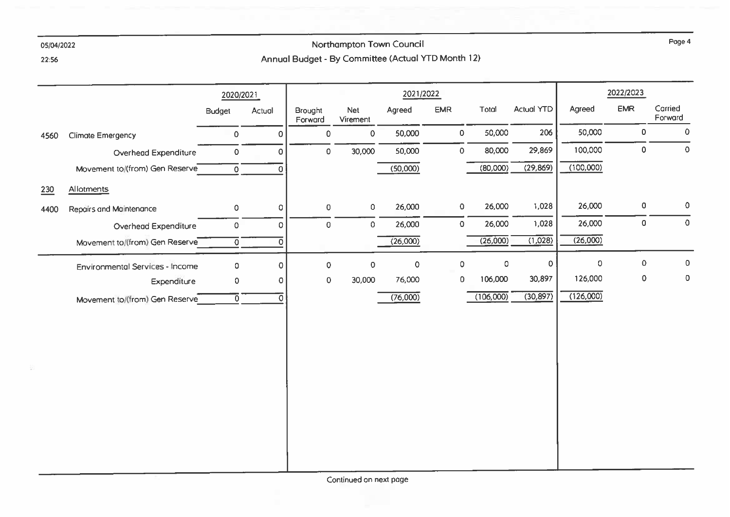22:56

## Northampton Town Council Annual Budget - By Committee (Actual YTD Month 12)

2022/2023 2021/2022 2020/2021 **EMR** Carried Agreed **EMR** Total **Actual YTD** Agreed **Budget** Actual Brought Net Forward Forward Virement 50,000 206 50,000  $\mathsf{O}$  $\mathbf{0}$  $\mathbf 0$ 50,000  $\mathbf 0$  $\Omega$  $\overline{0}$ Climate Emergency 4560 80,000 29,869 100,000  $\mathbf 0$ 30,000 50,000  $\Omega$  $\overline{0}$  $\Omega$ Overhead Expenditure  $\overline{0}$  $(100,000)$  $(50,000)$  $(80,000)$  $(29, 869)$ Movement to/(from) Gen Reserve  $\overline{0}$  $\overline{0}$ 230 Allotments  $\mathsf{o}$ 26,000 26,000  $\Omega$ 26,000 1,028  $\circ$  $\overline{0}$  $\circ$ Repairs and Maintenance  $\circ$ 4400 1,028 26,000  $\mathbf{0}$ 26,000  $\Omega$ 26,000  $\overline{0}$  $\overline{0}$  $\mathsf{O}\xspace$ Overhead Expenditure  $\Omega$  $(26,000)$  $(1,028)$  $(26,000)$  $(26,000)$ Movement to/(from) Gen Reserve ᅙ ಾ  $\mathbf{0}$  $\circ$  $\circ$  $\Omega$  $\Omega$  $\mathbf 0$  $\overline{0}$  $\overline{0}$  $\circ$  $\overline{0}$ **Environmental Services - Income** 126,000 106,000 30,897  $\mathbf 0$  $\overline{0}$ 30,000 76,000  $\Omega$  $\circ$  $\Omega$ Expenditure  $(126,000)$  $(76,000)$  $(106,000)$  $(30.897)$ 70. 70 Movement to/(from) Gen Reserve

Continued on next page

Page 4

 $\mathbf 0$ 

 $\mathbf{O}$ 

 $\circ$ 

 $\overline{0}$ 

 $\overline{0}$ 

 $\overline{0}$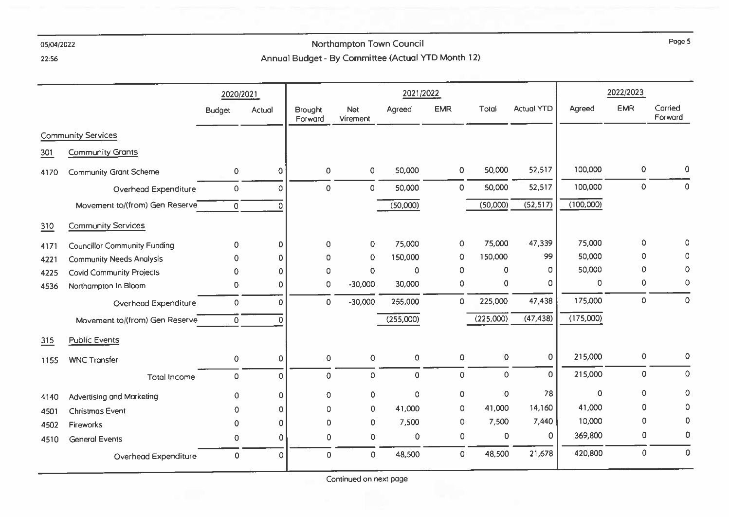## Northampton Town Council Annual Budget - By Committee (Actual YTD Month 12)

22:56

|      |                                     |                | 2020/2021      |                    |                        | 2021/2022           |             |           |                   | 2022/2023 |                     |                    |
|------|-------------------------------------|----------------|----------------|--------------------|------------------------|---------------------|-------------|-----------|-------------------|-----------|---------------------|--------------------|
|      |                                     | <b>Budget</b>  | Actual         | Brought<br>Forward | <b>Net</b><br>Virement | Agreed              | <b>EMR</b>  | Total     | <b>Actual YTD</b> | Agreed    | <b>EMR</b>          | Carried<br>Forward |
|      | <b>Community Services</b>           |                |                |                    |                        |                     |             |           |                   |           |                     |                    |
| 301  | Community Grants                    |                |                |                    |                        |                     |             |           |                   |           |                     |                    |
| 4170 | <b>Community Grant Scheme</b>       | 0              | $\Omega$       | $\circ$            | $\circ$                | 50,000              | $\circ$     | 50,000    | 52,517            | 100,000   | $\pmb{0}$           | 0                  |
|      | Overhead Expenditure                | $\mathbf 0$    | 0              | $\circ$            | $\mathbf 0$            | 50,000              | $\circ$     | 50,000    | 52,517            | 100,000   | 0                   | $\circ$            |
|      | Movement to/(from) Gen Reserve      | $\overline{0}$ | $\Omega$       |                    |                        | (50,000)            |             | (50,000)  | (52, 517)         | (100,000) |                     |                    |
| 310  | <b>Community Services</b>           |                |                |                    |                        |                     |             |           |                   |           |                     |                    |
| 4171 | <b>Councillor Community Funding</b> | $\mathbf 0$    | 0              | $\circ$            | 0                      | 75,000              | $\mathbf 0$ | 75,000    | 47,339            | 75,000    | $\mathsf{O}\xspace$ | Ω                  |
| 4221 | <b>Community Needs Analysis</b>     | 0              | $\mathbf 0$    | 0                  | $\mathbf 0$            | 150,000             | 0           | 150,000   | 99                | 50,000    | 0                   |                    |
| 4225 | <b>Covid Community Projects</b>     | 0              | $\Omega$       | $\Omega$           | $\mathbf 0$            | $\circ$             | $\circ$     | 0         | 0                 | 50,000    | $\mathbf 0$         | $\mathbf 0$        |
| 4536 | Northampton In Bloom                | 0              | 0              | $\circ$            | $-30,000$              | 30,000              | 0           | 0         | 0                 | 0         | 0                   | 0                  |
|      | Overhead Expenditure                | $\Omega$       | $\Omega$       | $\mathbf 0$        | $-30,000$              | 255,000             | $\circ$     | 225,000   | 47,438            | 175,000   | $\circ$             | $\mathbf 0$        |
|      | Movement to/(from) Gen Reserve      | 0              | $\Omega$       |                    |                        | (255,000)           |             | (225,000) | (47, 438)         | (175,000) |                     |                    |
| 315  | <b>Public Events</b>                |                |                |                    |                        |                     |             |           |                   |           |                     |                    |
| 1155 | <b>WNC Transfer</b>                 | $\mathbf 0$    | 0              | $\mathbf 0$        | $\mathbf 0$            | $\overline{O}$      | $\circ$     | 0         | $\circ$           | 215,000   | 0                   | 0                  |
|      | <b>Total Income</b>                 | 0              | 0              | $\overline{0}$     | 0                      | $\mathsf{O}\xspace$ | $\mathsf O$ | $\pmb{0}$ | $\mathbf 0$       | 215,000   | $\mathsf 0$         | $\mathbf 0$        |
| 4140 | Advertising and Marketing           | $\mathbf 0$    | $\mathbf{0}$   | $\circ$            | $\mathsf{O}\xspace$    | $\circ$             | 0           | 0         | 78                | $\circ$   | $\Omega$            | $\mathbf 0$        |
| 4501 | <b>Christmas Event</b>              | 0              | $\mathbf{O}$   | 0                  | 0                      | 41,000              | 0           | 41,000    | 14,160            | 41,000    | $\circ$             | 0                  |
| 4502 | <b>Fireworks</b>                    | 0              | 0              | $\mathbf 0$        | 0                      | 7,500               | 0           | 7,500     | 7,440             | 10,000    | $\mathbf{0}$        | 0                  |
| 4510 | <b>General Events</b>               | $\mathbf 0$    | $\overline{0}$ | $\mathbf 0$        | $\pmb{0}$              | $\mathbf 0$         | $\mathbf 0$ | 0         | 0                 | 369,800   | 0                   | 0                  |
|      | Overhead Expenditure                | 0              | 0              | $\mathbf 0$        | $\circ$                | 48,500              | 0           | 48,500    | 21,678            | 420,800   | $\mathbf 0$         | $\circ$            |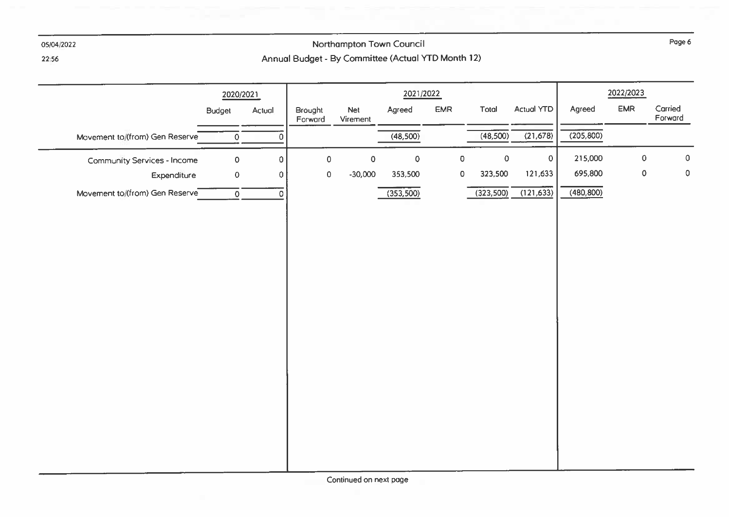

# Northampton Town Council Annual Budget - By Committee (Actual YTD Month 12)

22:56

|                                | 2020/2021      |             |                    |                 | 2021/2022 |                     |            |                   |            | 2022/2023  |                    |
|--------------------------------|----------------|-------------|--------------------|-----------------|-----------|---------------------|------------|-------------------|------------|------------|--------------------|
|                                | <b>Budget</b>  | Actual      | Brought<br>Forward | Net<br>Virement | Agreed    | <b>EMR</b>          | Total      | <b>Actual YTD</b> | Agreed     | <b>EMR</b> | Carried<br>Forward |
| Movement to/(from) Gen Reserve | $\mathbf 0$    | $\mathbf 0$ |                    |                 | (48,500)  |                     | (48,500)   | (21,678)          | (205, 800) |            |                    |
| Community Services - Income    | $\mathbf 0$    | $\circ$     | $\bullet$          | $\pmb{0}$       | $\pmb{0}$ | $\mathsf{O}\xspace$ | $\pmb{0}$  | $\overline{O}$    | 215,000    | $\pmb 0$   | $\mathsf{O}$       |
| Expenditure                    | $\mathbf 0$    | $\circ$     | $\pmb{0}$          | $-30,000$       | 353,500   | $\mathbf 0$         | 323,500    | 121,633           | 695,800    | $\pmb{0}$  | $\pmb{0}$          |
| Movement to/(from) Gen Reserve | $\overline{0}$ | $\circ$     |                    |                 | (353,500) |                     | (323, 500) | (121, 633)        | (480, 800) |            |                    |
|                                |                |             |                    |                 |           |                     |            |                   |            |            |                    |
|                                |                |             |                    |                 |           |                     |            |                   |            |            |                    |
|                                |                |             |                    |                 |           |                     |            |                   |            |            |                    |
|                                |                |             |                    |                 |           |                     |            |                   |            |            |                    |
|                                |                |             |                    |                 |           |                     |            |                   |            |            |                    |
|                                |                |             |                    |                 |           |                     |            |                   |            |            |                    |
|                                |                |             |                    |                 |           |                     |            |                   |            |            |                    |
|                                |                |             |                    |                 |           |                     |            |                   |            |            |                    |
|                                |                |             |                    |                 |           |                     |            |                   |            |            |                    |
|                                |                |             |                    |                 |           |                     |            |                   |            |            |                    |
|                                |                |             |                    |                 |           |                     |            |                   |            |            |                    |
|                                |                |             |                    |                 |           |                     |            |                   |            |            |                    |
|                                |                |             |                    |                 |           |                     |            |                   |            |            |                    |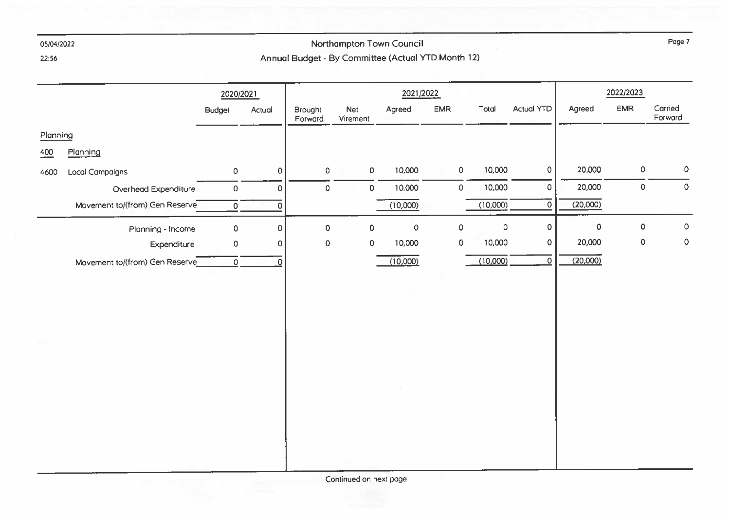## Northampton Town Council Annual Budget - By Committee (Actual YTD Month 12)

22:56

|          |                                |                  | 2020/2021           |                    |                 |                     | 2021/2022           |                    |                     |                     |             | 2022/2023    |                    |
|----------|--------------------------------|------------------|---------------------|--------------------|-----------------|---------------------|---------------------|--------------------|---------------------|---------------------|-------------|--------------|--------------------|
|          |                                | <b>Budget</b>    | Actual              | Brought<br>Forward | Net<br>Virement |                     | Agreed              | <b>EMR</b>         | Total               | Actual YTD          | Agreed      | <b>EMR</b>   | Carried<br>Forward |
| Planning |                                |                  |                     |                    |                 |                     |                     |                    |                     |                     |             |              |                    |
| 400      | Planning                       |                  |                     |                    |                 |                     |                     |                    |                     |                     |             |              |                    |
| 4600     | <b>Local Campaigns</b>         | $\mathsf D$      | $\mathbf 0$         | $\circ$            |                 | $\mathsf{O}\xspace$ | 10,000              | $\mathsf{O}$       | 10,000              | $\mathsf{O}\xspace$ | 20,000      | $\mathsf{O}$ | 0                  |
|          | Overhead Expenditure           | $\mathsf O$      | $\mathbf 0$         | $\circ$            |                 | $\mathsf{O}\xspace$ | 10,000              | $\circ$            | 10,000              | $\circ$             | 20,000      | $\mathsf{O}$ | $\mathbf 0$        |
|          | Movement to/(from) Gen Reserve | $\overline{0}$   | $\overline{0}$      |                    |                 |                     | (10,000)            |                    | (10,000)            | $\mathbf{0}$        | (20,000)    |              |                    |
|          | Planning - Income              | $\circ$          | $\mathsf{O}\xspace$ | $\mathbf 0$        |                 | $\mathsf{O}\xspace$ | $\mathsf{O}\xspace$ | $\pmb{\mathsf{O}}$ | $\mathsf{O}\xspace$ | $\circ$             | $\mathbf 0$ | 0            | $\pmb{0}$          |
|          | Expenditure                    | 0                | $\pmb{0}$           | $\pmb{0}$          |                 | $\mathsf{O}\xspace$ | 10,000              | $\pmb{0}$          | 10,000              | $\mathsf{O}\xspace$ | 20,000      | 0            | $\mathbf 0$        |
|          | Movement to/(from) Gen Reserve | $\overline{0}$ . | $\Omega$            |                    |                 |                     | (10,000)            |                    | (10,000)            | $\mathsf{O}$        | (20,000)    |              |                    |
|          |                                |                  |                     |                    |                 |                     |                     |                    |                     |                     |             |              |                    |
|          |                                |                  |                     |                    |                 |                     |                     |                    |                     |                     |             |              |                    |
|          |                                |                  |                     |                    |                 |                     |                     |                    |                     |                     |             |              |                    |
|          |                                |                  |                     |                    |                 |                     |                     |                    |                     |                     |             |              |                    |
|          |                                |                  |                     |                    |                 |                     |                     |                    |                     |                     |             |              |                    |
|          |                                |                  |                     |                    |                 |                     |                     |                    |                     |                     |             |              |                    |
|          |                                |                  |                     |                    |                 |                     |                     |                    |                     |                     |             |              |                    |
|          |                                |                  |                     |                    |                 |                     |                     |                    |                     |                     |             |              |                    |
|          |                                |                  |                     |                    |                 |                     |                     |                    |                     |                     |             |              |                    |
|          |                                |                  |                     |                    |                 |                     |                     |                    |                     |                     |             |              |                    |
|          |                                |                  |                     |                    |                 |                     |                     |                    |                     |                     |             |              |                    |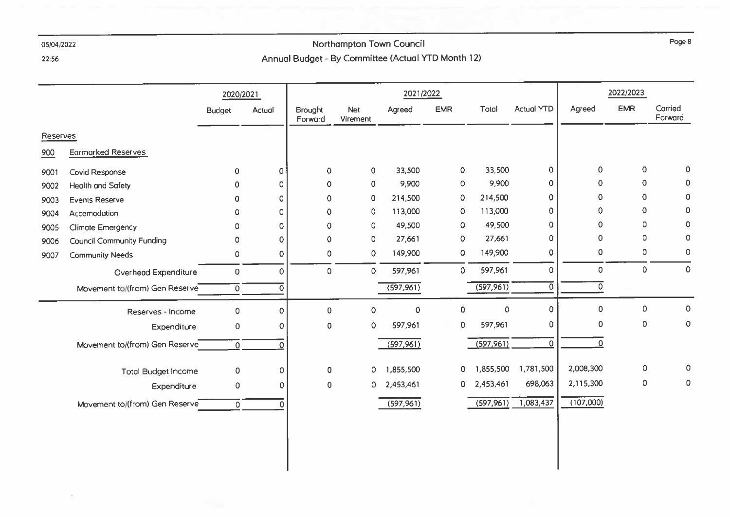$\sigma$ 

# Northampton Town Council Annual Budget - By Committee (Actual YTD Month 12)

22:56

|          |                                  | 2020/2021     |          |                           |                        | 2021/2022  |                     |            |                   | 2022/2023 |            |                    |
|----------|----------------------------------|---------------|----------|---------------------------|------------------------|------------|---------------------|------------|-------------------|-----------|------------|--------------------|
|          |                                  | <b>Budget</b> | Actual   | <b>Brought</b><br>Forward | <b>Net</b><br>Virement | Agreed     | <b>EMR</b>          | Total      | <b>Actual YTD</b> | Agreed    | <b>EMR</b> | Carried<br>Forward |
| Reserves |                                  |               |          |                           |                        |            |                     |            |                   |           |            |                    |
| 900      | <b>Earmarked Reserves</b>        |               |          |                           |                        |            |                     |            |                   |           |            |                    |
| 9001     | Covid Response                   | $\mathbf{0}$  | $\Omega$ | $\mathbf 0$               | $\mathbf 0$            | 33,500     | $\mathbf 0$         | 33,500     | 0                 | 0         | 0          | 0                  |
| 9002     | <b>Health and Safety</b>         | 0             | $\circ$  | $\mathbf 0$               | $\circ$                | 9,900      | $\mathbf 0$         | 9,900      | $\circ$           | 0         | 0          | $\mathbf 0$        |
| 9003     | <b>Events Reserve</b>            | 0             | 0        | 0                         | 0                      | 214,500    | 0                   | 214,500    | $\pmb{0}$         | 0         | 0          | $\circ$            |
| 9004     | Accomodation                     | 0             | 0        | $\Omega$                  | 0                      | 113,000    | $\mathbf 0$         | 113,000    | $\circ$           | 0         | 0          | 0                  |
| 9005     | Climate Emergency                | 0             | 0        | $\Omega$                  | 0                      | 49,500     | $\mathbf{0}$        | 49,500     | $\mathbf 0$       | 0         | 0          | 0                  |
| 9006     | <b>Council Community Funding</b> | 0             | 0        | $\Omega$                  | 0                      | 27,661     | $\circ$             | 27,661     | 0                 | 0         | 0          | 0                  |
| 9007     | <b>Community Needs</b>           | 0             | 0        | 0                         | 0                      | 149,900    | 0                   | 149,900    | $\circ$           | 0         | 0          | 0                  |
|          | Overhead Expenditure             | 0             | 0        | $\circ$                   | 0                      | 597,961    | 0                   | 597,961    | 0                 | 0         | 0          | $\mathbf 0$        |
|          | Movement to/(from) Gen Reserve   | 0             | 0        |                           |                        | (597,961)  |                     | (597, 961) | 0                 | ٥         |            |                    |
|          | Reserves - Income                | 0             | $\Omega$ | $\mathbf 0$               | 0                      | 0          | $\mathsf{O}\xspace$ | 0          | $\mathbf 0$       | 0         | 0          | 0                  |
|          | Expenditure                      | 0             | 0        | $\circ$                   | 0                      | 597,961    | 0                   | 597,961    | 0                 | 0         | 0          | 0                  |
|          | Movement to/(from) Gen Reserve   | $\Omega$      |          |                           |                        | (597, 961) |                     | (597,961)  | $\Omega$          | 0         |            |                    |
|          | <b>Total Budget Income</b>       | 0             | 0        | $\circ$                   | $\circ$                | 1,855,500  | $\mathbf 0$         | 1,855,500  | 1,781,500         | 2,008,300 | 0          | $\mathbf 0$        |
|          | Expenditure                      | 0             | 0        | $\pmb{0}$                 | 0                      | 2,453,461  | 0                   | 2,453,461  | 698,063           | 2,115,300 | 0          | 0                  |
|          | Movement to (from) Gen Reserve   | 0             |          |                           |                        | (597,961)  |                     | (597,961)  | 1,083,437         | (107,000) |            |                    |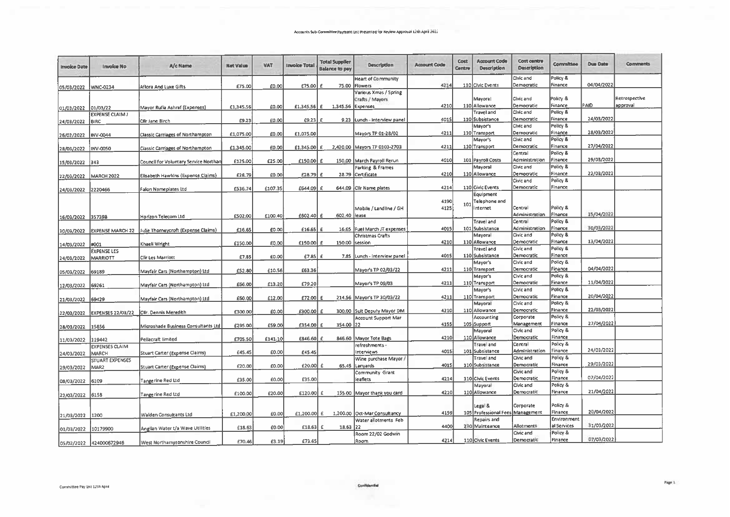| <b>Invoice Date</b>   | <b>Invoice No</b>        | A/c Name                                | <b>Net Value</b> | <b>VAT</b> | <b>Invoice Total</b> | <b>Total Supplier</b><br><b>Balance to pay</b> | Description                  | <b>Account Code</b> | Cost<br>Centre | <b>Account Code</b><br>Description | <b>Cost centre</b><br>Description | Committee           | <b>Due Date</b> | <b>Comments</b> |
|-----------------------|--------------------------|-----------------------------------------|------------------|------------|----------------------|------------------------------------------------|------------------------------|---------------------|----------------|------------------------------------|-----------------------------------|---------------------|-----------------|-----------------|
|                       |                          |                                         |                  |            |                      |                                                | <b>Heart of Community</b>    |                     |                |                                    | Civic and                         | Policy &            |                 |                 |
| 05/03/2022   WNC-0234 |                          | Aflora And Luxe Gifts                   | £75.00           | £0.00      | £75.00               | £.<br>75.00                                    | Flowers                      | 4214                |                | 110 Civic Events                   | Democratic                        | Finance             | 04/04/2022      |                 |
|                       |                          |                                         |                  |            |                      |                                                | Various Xmas / Spring        |                     |                |                                    |                                   |                     |                 |                 |
|                       |                          |                                         |                  |            |                      |                                                | Crafts / Mayors              |                     |                | Mayoral                            | Civic and                         | Policy &            |                 | Retrospective   |
| 01/03/2022            | 01/03/22                 | Mayor Rufia Ashraf (Expenses)           | £1,345.56        | £0.00      | £1,345.56 £          |                                                | 1,345.56 Expenses            | 4210                |                | 110 Allowance                      | Democratic                        | Finance             | PAID            | approval        |
|                       | <b>EXPENSE CLAIM J</b>   |                                         |                  |            |                      |                                                |                              |                     |                | <b>Fravel and</b>                  | Civic and                         | Policy &            |                 |                 |
| 24/03/2022            | BIRC                     | Cilr Jane Birch                         | £9.23            | £0.00      | £9.23                | £                                              | 9.23 Lunch-Interview panel   | 4015                |                | 110 Subsistance                    | Democratic                        | Finance             | 24/03/2022      |                 |
|                       |                          |                                         |                  |            |                      |                                                |                              |                     |                | Mayor's                            | Civic and                         | Policy &            |                 |                 |
| 26/02/2022            | <b>INV-0044</b>          | <b>Classic Carriages of Northampton</b> | £1,075.00        | £0.00      | £1,075.00            |                                                | Mayors TP 01-28/02           | 4211                |                | 110 Transport                      | Democratic                        | Finance             | 28/03/2022      |                 |
|                       |                          |                                         |                  |            |                      |                                                |                              |                     |                | Mayor's                            | Civic and                         | Policy &            |                 |                 |
| 28/03/2022            | <b>INV-0050</b>          | Classic Carriages of Northampton        | £1,345.00        | E0.00      | £1,345.00 £          |                                                | 2,420.00 Mayors TP 0103-2703 | 4211                |                | 110 Transport                      | Democratic                        | Finance             | 27/04/2022      |                 |
|                       |                          |                                         |                  |            |                      |                                                |                              |                     |                |                                    | Central                           | Policy &            |                 |                 |
| 343/2022 343          |                          | Council for Voluntary Service Northan   | £125.00          | £25.00     | £150.00              | £                                              | 150.00 March Payroll Rerun   | 4010                |                | 101 Payroll Costs                  | Administration                    | Finance             | 29/03/2022      |                 |
|                       |                          |                                         |                  |            |                      |                                                | Parking & Frames             |                     |                | Mayoral                            | Civic and                         | Policy &            |                 |                 |
| 22/03/2022            | <b>MARCH 2022</b>        | Elisabeth Hawkins (Expense Claims)      | £28.79           | £0.00      | £28.79 $\epsilon$    |                                                | 28.79 Certificate            | 4210                |                | 110 Allowance                      | Democratic                        | Finance             | 22/03/2022      |                 |
|                       |                          |                                         |                  |            |                      |                                                |                              |                     |                |                                    | Civic and                         | Policy &            |                 |                 |
| 24/03/2022 2220466    |                          | <b>Falon Nameplates Ltd</b>             | £536.74          | £107.35    | £644.09              |                                                | 644.09 Cllr Name plates      | 4214                |                | 110 Civic Events                   | Democratic                        | Finance             |                 |                 |
|                       |                          |                                         |                  |            |                      |                                                |                              |                     |                | Equipment                          |                                   |                     |                 |                 |
|                       |                          |                                         |                  |            |                      |                                                |                              | 4190                | 101            | Telephone and                      |                                   |                     |                 |                 |
|                       |                          |                                         |                  |            |                      |                                                | Mobile / Landline / GH       | 4125                |                | <b>nternet</b>                     | Central                           | Policy &            |                 |                 |
| 16/03/2022 357398     |                          | Horizon Telecom Ltd                     | £502.00          | £100.40    | £602.40 £            | 602.40 lease                                   |                              |                     |                |                                    | Administration                    | Finance             | 15/04/2022      |                 |
|                       |                          |                                         |                  |            |                      |                                                |                              |                     |                | Travel and                         | Central                           | Policy &            |                 |                 |
| 30/03/2022            | <b>EXPENSE MARCH 22</b>  | Julie Thorneycroft (Expense Claims)     | £16.65           | £0.00      | £16.65               | £                                              | 16.65 Fuel March JT expenses | 4015                |                | 101 Subsistance                    | Administration                    | Finance             | 30/03/2022      |                 |
|                       |                          |                                         |                  |            |                      |                                                | Christmas Crafts             |                     |                | Mayoral                            | Civic and                         | Policy &            |                 |                 |
| 14/03/2022            | #001                     | Khaeli Wright                           | £150.00          | £0.00      | £150.00              | 150.00                                         | session                      | 4210                |                | 110 Allowance                      | Democratic                        | Finance             | 13/04/2022      |                 |
|                       | <b>EXPENSE LES</b>       |                                         |                  |            |                      |                                                |                              |                     |                | <b>Travel and</b>                  | Civic and                         | Policy &            |                 |                 |
| 24/03/2022            | <b>MARRIOTT</b>          | Clir Les Marriott                       | £7.85            | £0.00      | $E7.85$ $E$          | 7.85                                           | Lunch - interview panel      | 4015                |                | 110 Subsistance                    | Democratic                        | Finance             |                 |                 |
|                       |                          |                                         |                  |            |                      |                                                |                              |                     |                | Mayor's                            | Civic and                         | Policy &            | 04/04/2022      |                 |
| 05/03/2022            | 69189                    | Mayfair Cars (Northampton) Ltd          | £52.80           | £10.56     | £63.36               |                                                | Mayor's TP 02/03/22          | 4211                |                | 110 Transport                      | Democratic<br>Civic and           | Finance<br>Policy & |                 |                 |
|                       |                          |                                         |                  |            |                      |                                                |                              |                     |                | Mayor's                            |                                   | Finance             | 11/04/2022      |                 |
| 12/03/2022            | 69261                    | Mayfair Cars (Northampton) Ltd          | £66.00           | £13.20     | £79.20               |                                                | Mayor's TP 09/03             | 4211                |                | 110 Transport                      | Democratic<br>Civic and           |                     |                 |                 |
|                       |                          |                                         |                  |            |                      |                                                |                              |                     |                | Mayor's                            | Democratic                        | Policy &<br>Finance | 20/04/2022      |                 |
| 21/03/2022 69429      |                          | Mayfair Cars (Northampton) Ltd          | £60.00           | £12.00     | £72.00               |                                                | 214.56 Mayor's TP 30/03/22   | 4211                |                | 110 Transport                      | Civic and                         | Policy &            |                 |                 |
|                       |                          |                                         |                  |            |                      |                                                |                              |                     |                | Mayoral                            | Democratic                        | Finance             | 22/03/2022      |                 |
| 22/03/2022            | <b>EXPENSES 22/03/22</b> | Clir. Dennis Meredith                   | £300.00          | £0.00      | £300.00              | 300.00<br>£                                    | Suit Deputy Mayor DM         | 4210                |                | 110 Allowance                      |                                   | Policy &            |                 |                 |
|                       |                          |                                         |                  |            |                      |                                                | Account Support Mar          |                     |                | Accounting                         | Corporate                         | Finance             | 27/04/2022      |                 |
| 28/03/2022            | 15856                    | Microshade Business Consultants Ltd     | £295.00          | £59.00     | £354.00              | 354.00<br>£                                    | 122                          | 4155                |                | 105 Support<br>Mayoral             | Management<br>Civic and           | Policy &            |                 |                 |
|                       |                          |                                         |                  |            |                      |                                                |                              | 4210                |                | 110 Allowance                      | Democratic                        | Finance             |                 |                 |
| 11/03/2022            | 119442                   | Pellacraft limited                      | £705.50          | £141.10    | £846.60              | 846.60                                         | Mayor Tote Bags              |                     |                | Travel and                         | Central                           | Policy &            |                 |                 |
|                       | <b>EXPENSES CLAIM</b>    |                                         |                  |            |                      |                                                | refreshments -               | 4015                |                | 101 Subsistance                    | Administration                    | Finance             | 24/03/2022      |                 |
| 24/03/2022            | <b>MARCH</b>             | Stuart Carter (Expense Claims)          | £45.45           | £0.00      | £45.45               |                                                | Interviews                   |                     |                | <b>Traveland</b>                   | Civic and                         | Policy &            |                 |                 |
|                       | <b>STUART EXPENSES</b>   |                                         |                  |            |                      | £                                              | Wine purchase Mayor          | 4015                |                | 110 Subsistance                    | Democratic                        | Finance             | 29/03/2022      |                 |
| 29/03/2022            | MAR <sub>2</sub>         | <b>Stuart Carter (Expense Claims)</b>   | £20.00           | £0.00      | £20.00               | 65.45                                          | Lanvards                     |                     |                |                                    | Civic and                         | Policy &            |                 |                 |
|                       |                          |                                         |                  |            | £35.00               |                                                | Community Grant<br>leaflets  | 4214                |                | 110 Civic Events                   | Democratic                        | Finance             | 07/04/2022      |                 |
| 08/03/2022            | 6109                     | Tangerine Red Ltd                       | £35.00           | £0.00      |                      |                                                |                              |                     |                | Mayoral                            | Civic and                         | Policy &            |                 |                 |
|                       |                          |                                         |                  |            |                      |                                                |                              | 4210                |                | 110 Allowance                      | Democratic                        | Finance             | 21/04/2022      |                 |
| 22/03/2022            | 6158                     | Tangerine Red Ltd                       | £100.00          | £20.00     | £120.00 £            |                                                | 155.00 Mayor thank you card  |                     |                |                                    |                                   |                     |                 |                 |
|                       |                          |                                         |                  |            |                      |                                                |                              |                     |                | Legal &                            | Corporate                         | Policy &            |                 |                 |
|                       |                          |                                         |                  |            |                      |                                                | Oct-Mar Consultancy          | 4159                |                | 105 Professional Fees Management   |                                   | Finance             | 20/04/2022      |                 |
| 21/03/2022            | 1200                     | Walden Consultants Ltd                  | £1,200.00        | £0.00      | £1,200.00 £          | 1,200.00                                       | Water allotments Feb         |                     |                | Repairs and                        |                                   | Environment         |                 |                 |
|                       |                          |                                         |                  | £0.00      | £18.63               | 18.63<br>£                                     | 22                           | 4400                |                | 210 Mainteance                     | Allotments                        | al Services         | 31/03/2022      |                 |
| 01/03/2022            | 10179900                 | Anglian Water t/a Wave Utilities        | £18.63           |            |                      |                                                | Room 22/02 Godwin            |                     |                |                                    | Civic and                         | Policy &            |                 |                 |
|                       |                          |                                         |                  |            |                      |                                                |                              | 4214                |                | 110 Civic Events                   | Democratic                        | Finance             | 07/03/2022      |                 |
|                       | 05/02/2022 424000672946  | West Northamptonshire Council           | £70.46           | £3.19      | £73.65               |                                                | Room                         |                     |                |                                    |                                   |                     |                 |                 |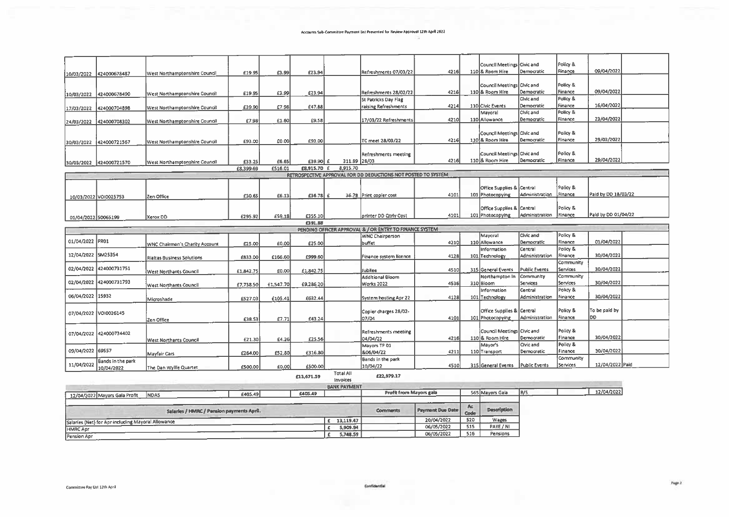$\overline{\phantom{a}}$ 

|                     |                         |                                   |           |           |                    |                  |                                                               |        | Council Meetings Civic and                    |                           | Policy &            |                     |  |
|---------------------|-------------------------|-----------------------------------|-----------|-----------|--------------------|------------------|---------------------------------------------------------------|--------|-----------------------------------------------|---------------------------|---------------------|---------------------|--|
| 10/03/2022          | 424000678487            | West Northamptonshire Council     | £19.95    | £3.99     | £23.94             |                  | Refreshments 07/03/22                                         | 4216   | 110 & Room Hire                               | Democratic                | Finance             | 09/04/2022          |  |
|                     |                         |                                   |           |           |                    |                  |                                                               |        |                                               |                           |                     |                     |  |
|                     |                         |                                   |           |           |                    |                  |                                                               | 4216   | Council Meetings Civic and<br>110 & Room Hire | Democratic                | Policy &<br>Finance | 09/04/2022          |  |
| 10/03/2022          | 424000678490            | West Northamptonshire Council     | £19.95    | £3.99     | £23.94             |                  | Refreshments 28/02/22<br>St Patricks Day Flag                 |        |                                               | Civic and                 | Policy &            |                     |  |
| 17/03/2022          | 424000704898            | West Northamptonshire Council     | £39.90    | £7.98     | £47.88             |                  | raising Refreshments                                          | 4214   | 110 Civic Events                              | Democratic                | Finance             | 16/04/2022          |  |
|                     |                         |                                   |           |           |                    |                  |                                                               |        | Mayoral                                       | Civic and                 | Policy &            |                     |  |
| 24/03/2022          | 424000708302            | West Northamptonshire Council     | £7.98     | £1.60     | £9.58              |                  | 17/03/22 Refreshments                                         | 4210   | 110 Allowance                                 | Democratic                | Finance             | 23/04/2022          |  |
|                     |                         |                                   |           |           |                    |                  |                                                               |        | Council Meetings Civic and                    |                           | Policy &            |                     |  |
|                     |                         |                                   | £93.00    | £0.00     | £93.00             |                  | TC meet 28/03/22                                              | 4216   | 110 & Room Hire                               | Democratic                | Finance             | 29/03/2022          |  |
| 30/03/2022          | 424000721567            | West Northamptonshire Council     |           |           |                    |                  |                                                               |        |                                               |                           |                     |                     |  |
|                     |                         |                                   |           |           |                    |                  | Refreshments meeting                                          |        | Council Meetings Civic and                    |                           | Policy &            |                     |  |
|                     | 30/03/2022 424000721570 | West Northamptonshire Council     | £33.25    | £6.65     | $£39.90$ £         | 311.89 28/03     |                                                               | 4216   | 110 & Room Hire                               | Democratic                | Finance             | 29/04/2022          |  |
|                     |                         |                                   | £8,399.69 | £516.01   | £8,915.70 £        | 8,915.70         |                                                               |        |                                               |                           |                     |                     |  |
|                     |                         |                                   |           |           |                    |                  | RETROSPECTIVE APPROVAL FOR DD DEDUCTIONS NOT POSTED TO SYSTEM |        |                                               |                           |                     |                     |  |
|                     |                         |                                   |           |           |                    |                  |                                                               |        | Office Supplies & Central                     |                           | Policy &            |                     |  |
|                     | 10/03/2022 VOI0025753   | Zen Office                        | £30.65    | £6.13     | $£36.78$ $E$       |                  | 36.78 Print copier cost                                       | 4101   | 101 Photocopying                              | Administration            | Finance             | Paid by DD 18/03/22 |  |
|                     |                         |                                   |           |           |                    |                  |                                                               |        |                                               |                           |                     |                     |  |
|                     |                         |                                   |           |           |                    |                  |                                                               | 4101   | Office Supplies & Central<br>101 Photocopying | Administration            | Policy &<br>Finance | Paid by DD 01/04/22 |  |
| 01/04/2022 50065199 |                         | Xerox DD                          | £295.92   | £59.18    | £355.10<br>£391.88 |                  | printer DD Qtrly Cost                                         |        |                                               |                           |                     |                     |  |
|                     |                         |                                   |           |           |                    |                  | PENDING OFFICER APPROVAL & / OR ENTRY TO FINANCE SYSTEM       |        |                                               |                           |                     |                     |  |
|                     |                         |                                   |           |           |                    |                  | WNC Chairperson                                               |        | Mayoral                                       | Civic and                 | Policy &            |                     |  |
| 01/04/2022 PR01     |                         | WNC Chairman's Charity Account    | £25.00    | £0.00     | £25.00             |                  | buffet                                                        | 4210   | 110 Allowance                                 | Democratic                | Finance             | 01/04/2022          |  |
| 12/04/2022          | SM25354                 |                                   |           |           |                    |                  |                                                               |        | Information                                   | Central<br>Administration | Policy &<br>Finance | 30/04/2022          |  |
|                     |                         | <b>Rialtas Business Solutions</b> | £833.00   | £166.60   | £999.60            |                  | Finance system licence                                        | 4128   | 101 Technology                                |                           | Community           |                     |  |
| 02/04/2022          | 424000731751            | West Northants Council            | £1,842.75 | £0.00     | £1,842.75          |                  | Jubilee                                                       | 4510   | 315 General Events                            | Public Events             | <b>Services</b>     | 30/04/2022          |  |
|                     |                         |                                   |           |           |                    |                  | Additional Bloom                                              |        | Northampton In                                | Community                 | Community           |                     |  |
| 02/04/2022          | 424000731793            | West Northants Council            | £7,738.50 | £1,547.70 | £9,286.20          |                  | Works 2022                                                    | 4536   | 310 Bloom                                     | Services                  | Services            | 30/04/2022          |  |
| 06/04/2022 15932    |                         |                                   |           |           |                    |                  |                                                               |        | nformation                                    | Central                   | Policy &            | 30/04/2022          |  |
|                     |                         | Microshade                        | £527.03   | £105.41   | £632.44            |                  | System hosting Apr 22                                         | 4128   | 101 Technology                                | Administration            | Finance             |                     |  |
|                     |                         |                                   |           |           |                    |                  | Copier charges 28/02-                                         |        | Office Supplies & Central                     |                           | Policy &            | To be paid by       |  |
|                     | 07/04/2022 VOI0026145   | Zen Office                        | £38.53    | £7.71     | £43.24             |                  | 07/04                                                         | 4101 l | 101 Photocopying                              | Administration            | Finance             | DD                  |  |
|                     |                         |                                   |           |           |                    |                  |                                                               |        |                                               |                           |                     |                     |  |
|                     | 07/04/2022 424000734402 |                                   |           |           |                    |                  | Refreshments meeting                                          |        | Council Meetings Civic and                    |                           | Policy &            | 30/04/2022          |  |
|                     |                         | <b>West Northants Council</b>     | £21.30    | £4.26     | £25.56             |                  | 04/04/22                                                      | 4216   | 110 & Room Hire<br>Mayor's                    | Democratic<br>Civic and   | Finance<br>Policy & |                     |  |
| 09/04/2022 69557    |                         | Mayfair Cars                      | £264.00   | £52.80    | £316.80            |                  | Mayors TP 01<br>&06/04/22                                     | 4211   | 110 Transport                                 | Democratic                | Finance             | 30/04/2022          |  |
|                     | Bands in the park       |                                   |           |           |                    |                  | Bands in the park                                             |        |                                               |                           | Community           |                     |  |
| 11/04/2022          | 10/04/2022              | The Dan Wyllie Quartet            | £500.00   | £0.00     | £500.00            |                  | 10/04/22                                                      | 4510   | 315 General Events                            | Public Events             | Services            | 12/04/2022 Paid     |  |
|                     |                         |                                   |           |           | £13,671.59         | <b>Total All</b> | £22,979.17                                                    |        |                                               |                           |                     |                     |  |
|                     |                         |                                   |           |           |                    | Invoices         |                                                               |        |                                               |                           |                     |                     |  |

|                                                    |                                           | 11199562<br><b>BANK PAYMENT</b> |                 |                         |             |                    |     |            |
|----------------------------------------------------|-------------------------------------------|---------------------------------|-----------------|-------------------------|-------------|--------------------|-----|------------|
| <b>NDAS</b><br>12/04/2022 Mayors Gala Profit       | £405.49                                   | £405.49                         |                 | Profit from Mayors gala |             | 565 Mayors Gala    | B/S | 12/04/2022 |
|                                                    | Salaries / HMRC / Pension payments April. |                                 | <b>Comments</b> | <b>Payment Due Date</b> | Ac.<br>Code | <b>Description</b> |     |            |
| Salaries (Net) for Apr including Mayoral Allowance |                                           | 13,119.47                       |                 | 20/04/2022              | 520         | Wages              |     |            |
| HMRC Apr                                           |                                           | 5,909.94                        |                 | 06/05/2022              | 515         | PAYE / NI          |     |            |
| Pension Apr                                        |                                           | 5,748.59                        |                 | 06/05/2022              | 516         | Pensions           |     |            |